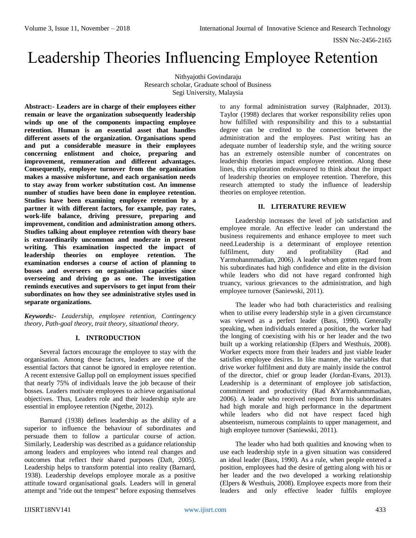# Leadership Theories Influencing Employee Retention

Nithyajothi Govindaraju Research scholar, Graduate school of Business Segi University, Malaysia

**Abstract:- Leaders are in charge of their employees either remain or leave the organization subsequently leadership winds up one of the components impacting employee retention. Human is an essential asset that handles different assets of the organization. Organisations spend and put a considerable measure in their employees concerning enlistment and choice, preparing and improvement, remuneration and different advantages. Consequently, employee turnover from the organization makes a massive misfortune, and each organisation needs to stay away from worker substitution cost. An immense number of studies have been done in employee retention. Studies have been examining employee retention by a partner it with different factors, for example, pay rates, work-life balance, driving pressure, preparing and improvement, condition and administration among others. Studies talking about employee retention with theory base is extraordinarily uncommon and moderate in present writing. This examination inspected the impact of leadership theories on employee retention. The examination endorses a course of action of planning to bosses and overseers on organisation capacities since overseeing and driving go as one. The investigation reminds executives and supervisors to get input from their subordinates on how they see administrative styles used in separate organizations.**

*Keywords:- Leadership, employee retention, Contingency theory, Path-goal theory, trait theory, situational theory.*

## **I. INTRODUCTION**

Several factors encourage the employee to stay with the organisation. Among these factors, leaders are one of the essential factors that cannot be ignored in employee retention. A recent extensive Gallup poll on employment issues specified that nearly 75% of individuals leave the job because of their bosses. Leaders motivate employees to achieve organisational objectives. Thus, Leaders role and their leadership style are essential in employee retention (Ngethe, 2012).

Barnard (1938) defines leadership as the ability of a superior to influence the behaviour of subordinates and persuade them to follow a particular course of action. Similarly, Leadership was described as a guidance relationship among leaders and employees who intend real changes and outcomes that reflect their shared purposes (Daft, 2005). Leadership helps to transform potential into reality (Barnard, 1938). Leadership develops employee morale as a positive attitude toward organisational goals. Leaders will in general attempt and "ride out the tempest" before exposing themselves

to any formal administration survey (Ralphnader, 2013). Taylor (1998) declares that worker responsibility relies upon how fulfilled with responsibility and this to a substantial degree can be credited to the connection between the administration and the employees. Past writing has an adequate number of leadership style, and the writing source has an extremely ostensible number of concentrates on leadership theories impact employee retention. Along these lines, this exploration endeavoured to think about the impact of leadership theories on employee retention. Therefore, this research attempted to study the influence of leadership theories on employee retention.

#### **II. LITERATURE REVIEW**

Leadership increases the level of job satisfaction and employee morale. An effective leader can understand the business requirements and enhance employee to meet such need.Leadership is a determinant of employee retention fulfilment, duty and profitability (Rad and Yarmohanmmadian, 2006). A leader whom gotten regard from his subordinates had high confidence and elite in the division while leaders who did not have regard confronted high truancy, various grievances to the administration, and high employee turnover (Saniewski, 2011).

The leader who had both characteristics and realising when to utilise every leadership style in a given circumstance was viewed as a perfect leader (Bass, 1990). Generally speaking, when individuals entered a position, the worker had the longing of coexisting with his or her leader and the two built up a working relationship (Elpers and Westhuis, 2008). Worker expects more from their leaders and just viable leader satisfies employee desires. In like manner, the variables that drive worker fulfilment and duty are mainly inside the control of the director, chief or group leader (Jordan-Evans, 2013). Leadership is a determinant of employee job satisfaction, commitment and productivity (Rad &Yarmohanmmadian, 2006). A leader who received respect from his subordinates had high morale and high performance in the department while leaders who did not have respect faced high absenteeism, numerous complaints to upper management, and high employee turnover (Saniewski, 2011).

The leader who had both qualities and knowing when to use each leadership style in a given situation was considered an ideal leader (Bass, 1990). As a rule, when people entered a position, employees had the desire of getting along with his or her leader and the two developed a working relationship (Elpers & Westhuis, 2008). Employee expects more from their leaders and only effective leader fulfils employee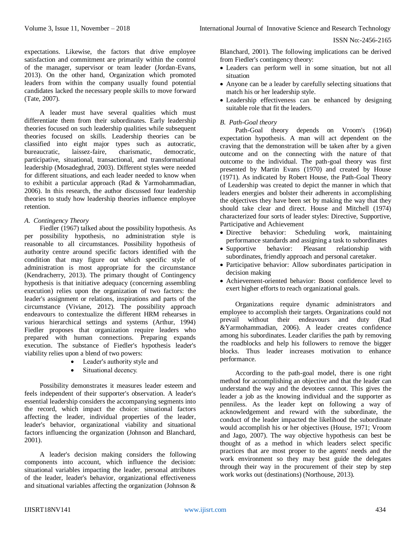expectations. Likewise, the factors that drive employee satisfaction and commitment are primarily within the control of the manager, supervisor or team leader (Jordan-Evans, 2013). On the other hand, Organization which promoted leaders from within the company usually found potential candidates lacked the necessary people skills to move forward (Tate, 2007).

A leader must have several qualities which must differentiate them from their subordinates. Early leadership theories focused on such leadership qualities while subsequent theories focused on skills. Leadership theories can be classified into eight major types such as autocratic, bureaucratic, laissez-faire, charismatic, democratic, participative, situational, transactional, and transformational leadership (Mosadeghrad, 2003). Different styles were needed for different situations, and each leader needed to know when to exhibit a particular approach (Rad & Yarmohammadian, 2006). In this research, the author discussed four leadership theories to study how leadership theories influence employee retention.

### *A. Contingency Theory*

Fiedler (1967) talked about the possibility hypothesis. As per possibility hypothesis, no administration style is reasonable to all circumstances. Possibility hypothesis of authority centre around specific factors identified with the condition that may figure out which specific style of administration is most appropriate for the circumstance (Kendracherry, 2013). The primary thought of Contingency hypothesis is that initiative adequacy (concerning assembling execution) relies upon the organization of two factors: the leader's assignment or relations, inspirations and parts of the circumstance (Viviane, 2012). The possibility approach endeavours to contextualize the different HRM rehearses in various hierarchical settings and systems (Arthur, 1994) Fiedler proposes that organization require leaders who prepared with human connections. Preparing expands execution. The substance of Fiedler's hypothesis leader's viability relies upon a blend of two powers:

- Leader's authority style and
- Situational decency.

Possibility demonstrates it measures leader esteem and feels independent of their supporter's observation. A leader's essential leadership considers the accompanying segments into the record, which impact the choice: situational factors affecting the leader, individual properties of the leader, leader's behavior, organizational viability and situational factors influencing the organization (Johnson and Blanchard, 2001).

A leader's decision making considers the following components into account, which influence the decision: situational variables impacting the leader, personal attributes of the leader, leader's behavior, organizational effectiveness and situational variables affecting the organization (Johnson & Blanchard, 2001). The following implications can be derived from Fiedler's contingency theory:

- Leaders can perform well in some situation, but not all situation
- Anyone can be a leader by carefully selecting situations that match his or her leadership style.
- Leadership effectiveness can be enhanced by designing suitable role that fit the leaders.

# *B. Path-Goal theory*

Path-Goal theory depends on Vroom's (1964) expectation hypothesis. A man will act dependent on the craving that the demonstration will be taken after by a given outcome and on the connecting with the nature of that outcome to the individual. The path-goal theory was first presented by Martin Evans (1970) and created by House (1971). As indicated by Robert House, the Path-Goal Theory of Leadership was created to depict the manner in which that leaders energies and bolster their adherents in accomplishing the objectives they have been set by making the way that they should take clear and direct. House and Mitchell (1974) characterized four sorts of leader styles: Directive, Supportive, Participative and Achievement

- Directive behavior: Scheduling work, maintaining performance standards and assigning a task to subordinates
- Supportive behavior: Pleasant relationship with subordinates, friendly approach and personal caretaker.
- Participative behavior: Allow subordinates participation in decision making
- Achievement-oriented behavior: Boost confidence level to exert higher efforts to reach organizational goals.

Organizations require dynamic administrators and employee to accomplish their targets. Organizations could not prevail without their endeavours and duty (Rad &Yarmohammadian, 2006). A leader creates confidence among his subordinates. Leader clarifies the path by removing the roadblocks and help his followers to remove the bigger blocks. Thus leader increases motivation to enhance performance.

According to the path-goal model, there is one right method for accomplishing an objective and that the leader can understand the way and the devotees cannot. This gives the leader a job as the knowing individual and the supporter as penniless. As the leader kept on following a way of acknowledgement and reward with the subordinate, the conduct of the leader impacted the likelihood the subordinate would accomplish his or her objectives (House, 1971; Vroom and Jago, 2007). The way objective hypothesis can best be thought of as a method in which leaders select specific practices that are most proper to the agents' needs and the work environment so they may best guide the delegates through their way in the procurement of their step by step work works out (destinations) (Northouse, 2013).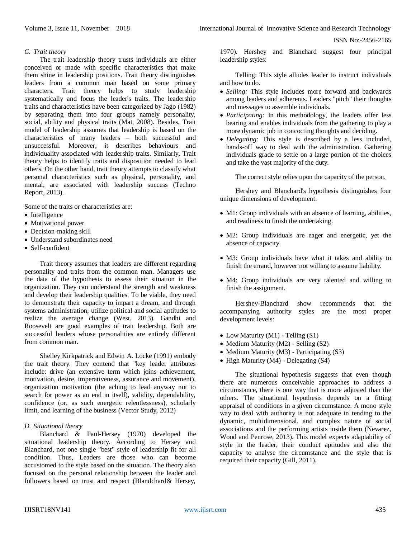#### *C. Trait theory*

The trait leadership theory trusts individuals are either conceived or made with specific characteristics that make them shine in leadership positions. Trait theory distinguishes leaders from a common man based on some primary characters. Trait theory helps to study leadership systematically and focus the leader's traits. The leadership traits and characteristics have been categorized by Jago (1982) by separating them into four groups namely personality, social, ability and physical traits (Mat, 2008). Besides, Trait model of leadership assumes that leadership is based on the characteristics of many leaders – both successful and unsuccessful. Moreover, it describes behaviours and individuality associated with leadership traits. Similarly, Trait theory helps to identify traits and disposition needed to lead others. On the other hand, trait theory attempts to classify what personal characteristics such as physical, personality, and mental, are associated with leadership success (Techno Report, 2013).

Some of the traits or characteristics are:

- Intelligence
- Motivational power
- Decision-making skill
- Understand subordinates need
- Self-confident

Trait theory assumes that leaders are different regarding personality and traits from the common man. Managers use the data of the hypothesis to assess their situation in the organization. They can understand the strength and weakness and develop their leadership qualities. To be viable, they need to demonstrate their capacity to impart a dream, and through systems administration, utilize political and social aptitudes to realize the average change (West, 2013). Gandhi and Roosevelt are good examples of trait leadership. Both are successful leaders whose personalities are entirely different from common man.

Shelley Kirkpatrick and Edwin A. Locke (1991) embody the trait theory. They contend that "key leader attributes include: drive (an extensive term which joins achievement, motivation, desire, imperativeness, assurance and movement), organization motivation (the aching to lead anyway not to search for power as an end in itself), validity, dependability, confidence (or, as such energetic relentlessness), scholarly limit, and learning of the business (Vector Study, 2012)

#### *D. Situational theory*

Blanchard & Paul-Hersey (1970) developed the situational leadership theory. According to Hersey and Blanchard, not one single "best" style of leadership fit for all condition. Thus, Leaders are those who can become accustomed to the style based on the situation. The theory also focused on the personal relationship between the leader and followers based on trust and respect (Blandchard& Hersey,

1970). Hershey and Blanchard suggest four principal leadership styles:

Telling: This style alludes leader to instruct individuals and how to do.

- *Selling:* This style includes more forward and backwards among leaders and adherents. Leaders "pitch" their thoughts and messages to assemble individuals.
- *Participating:* In this methodology, the leaders offer less bearing and enables individuals from the gathering to play a more dynamic job in concocting thoughts and deciding.
- *Delegating:* This style is described by a less included, hands-off way to deal with the administration. Gathering individuals grade to settle on a large portion of the choices and take the vast majority of the duty.

The correct style relies upon the capacity of the person.

Hershey and Blanchard's hypothesis distinguishes four unique dimensions of development.

- M1: Group individuals with an absence of learning, abilities, and readiness to finish the undertaking.
- M2: Group individuals are eager and energetic, yet the absence of capacity.
- M3: Group individuals have what it takes and ability to finish the errand, however not willing to assume liability.
- M4: Group individuals are very talented and willing to finish the assignment.

Hershey-Blanchard show recommends that the accompanying authority styles are the most proper development levels:

- Low Maturity (M1) Telling (S1)
- Medium Maturity (M2) Selling (S2)
- Medium Maturity (M3) Participating (S3)
- $\bullet$  High Maturity (M4) Delegating (S4)

The situational hypothesis suggests that even though there are numerous conceivable approaches to address a circumstance, there is one way that is more adjusted than the others. The situational hypothesis depends on a fitting appraisal of conditions in a given circumstance. A mono style way to deal with authority is not adequate in tending to the dynamic, multidimensional, and complex nature of social associations and the performing artists inside them (Nevarez, Wood and Penrose, 2013). This model expects adaptability of style in the leader, their conduct aptitudes and also the capacity to analyse the circumstance and the style that is required their capacity (Gill, 2011).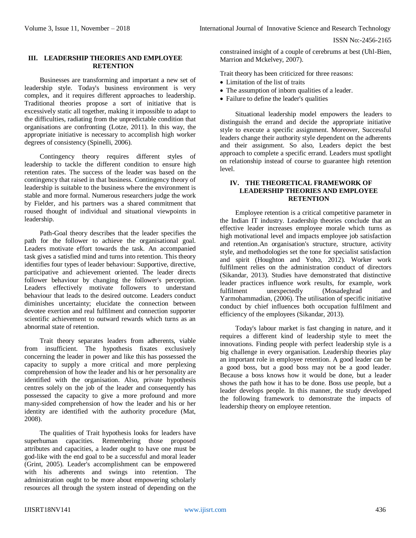### **III. LEADERSHIP THEORIES AND EMPLOYEE RETENTION**

Businesses are transforming and important a new set of leadership style. Today's business environment is very complex, and it requires different approaches to leadership. Traditional theories propose a sort of initiative that is excessively static all together, making it impossible to adapt to the difficulties, radiating from the unpredictable condition that organisations are confronting (Lotze, 2011). In this way, the appropriate initiative is necessary to accomplish high worker degrees of consistency (Spinelli, 2006).

Contingency theory requires different styles of leadership to tackle the different condition to ensure high retention rates. The success of the leader was based on the contingency that raised in that business. Contingency theory of leadership is suitable to the business where the environment is stable and more formal. Numerous researchers judge the work by Fielder, and his partners was a shared commitment that roused thought of individual and situational viewpoints in leadership.

Path-Goal theory describes that the leader specifies the path for the follower to achieve the organisational goal. Leaders motivate effort towards the task. An accompanied task gives a satisfied mind and turns into retention. This theory identifies four types of leader behaviour: Supportive, directive, participative and achievement oriented. The leader directs follower behaviour by changing the follower's perception. Leaders effectively motivate followers to understand behaviour that leads to the desired outcome. Leaders conduct diminishes uncertainty; elucidate the connection between devotee exertion and real fulfilment and connection supporter scientific achievement to outward rewards which turns as an abnormal state of retention.

Trait theory separates leaders from adherents, viable from insufficient. The hypothesis fixates exclusively concerning the leader in power and like this has possessed the capacity to supply a more critical and more perplexing comprehension of how the leader and his or her personality are identified with the organisation. Also, private hypothesis centres solely on the job of the leader and consequently has possessed the capacity to give a more profound and more many-sided comprehension of how the leader and his or her identity are identified with the authority procedure (Mat, 2008).

The qualities of Trait hypothesis looks for leaders have superhuman capacities. Remembering those proposed attributes and capacities, a leader ought to have one must be god-like with the end goal to be a successful and moral leader (Grint, 2005). Leader's accomplishment can be empowered with his adherents and swings into retention. The administration ought to be more about empowering scholarly resources all through the system instead of depending on the constrained insight of a couple of cerebrums at best (Uhl-Bien, Marrion and Mckelvey, 2007).

Trait theory has been criticized for three reasons:

- Limitation of the list of traits
- The assumption of inborn qualities of a leader.
- Failure to define the leader's qualities

Situational leadership model empowers the leaders to distinguish the errand and decide the appropriate initiative style to execute a specific assignment. Moreover, Successful leaders change their authority style dependent on the adherents and their assignment. So also, Leaders depict the best approach to complete a specific errand. Leaders must spotlight on relationship instead of course to guarantee high retention level.

## **IV. THE THEORETICAL FRAMEWORK OF LEADERSHIP THEORIES AND EMPLOYEE RETENTION**

Employee retention is a critical competitive parameter in the Indian IT industry. Leadership theories conclude that an effective leader increases employee morale which turns as high motivational level and impacts employee job satisfaction and retention.An organisation's structure, structure, activity style, and methodologies set the tone for specialist satisfaction and spirit (Houghton and Yoho, 2012). Worker work fulfilment relies on the administration conduct of directors (Sikandar, 2013). Studies have demonstrated that distinctive leader practices influence work results, for example, work fulfilment unexpectedly (Mosadeghrad and Yarmohammadian, (2006). The utilisation of specific initiative conduct by chief influences both occupation fulfilment and efficiency of the employees (Sikandar, 2013).

Today's labour market is fast changing in nature, and it requires a different kind of leadership style to meet the innovations. Finding people with perfect leadership style is a big challenge in every organisation. Leadership theories play an important role in employee retention. A good leader can be a good boss, but a good boss may not be a good leader. Because a boss knows how it would be done, but a leader shows the path how it has to be done. Boss use people, but a leader develops people. In this manner, the study developed the following framework to demonstrate the impacts of leadership theory on employee retention.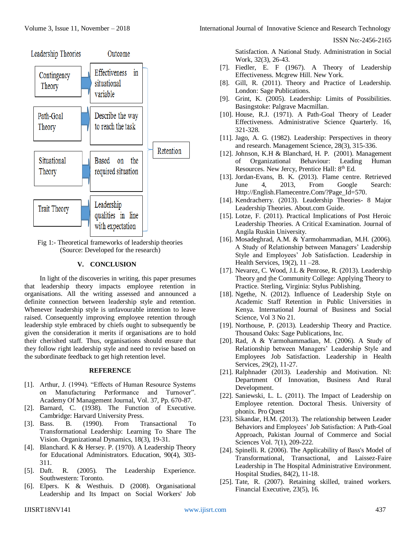

Fig 1:- Theoretical frameworks of leadership theories (Source: Developed for the research)

# **V. CONCLUSION**

In light of the discoveries in writing, this paper presumes that leadership theory impacts employee retention in organisations. All the writing assessed and announced a definite connection between leadership style and retention. Whenever leadership style is unfavourable intention to leave raised. Consequently improving employee retention through leadership style embraced by chiefs ought to subsequently be given the consideration it merits if organisations are to hold their cherished staff. Thus, organisations should ensure that they follow right leadership style and need to revise based on the subordinate feedback to get high retention level.

#### **REFERENCE**

- [1]. Arthur, J. (1994). "Effects of Human Resource Systems on Manufacturing Performance and Turnover". Academy Of Management Journal, Vol. 37, Pp. 670-87.
- [2]. Barnard, C. (1938). The Function of Executive. Cambridge: Harvard University Press.
- [3]. Bass. B. (1990). From Transactional To Transformational Leadership: Learning To Share The Vision. Organizational Dynamics, 18(3), 19-31.
- [4]. Blanchard. K & Hersey. P. (1970). A Leadership Theory for Educational Administrators. Education, 90(4), 303- 311.
- [5]. Daft. R. (2005). The Leadership Experience. Southwestern: Toronto.
- [6]. Elpers. K & Westhuis. D (2008). Organisational Leadership and Its Impact on Social Workers' Job

ISSN No:-2456-2165

Satisfaction. A National Study. Administration in Social Work, 32(3), 26-43.

- [7]. Fiedler, E. F (1967). A Theory of Leadership Effectiveness. Mcgrew Hill. New York.
- [8]. Gill, R. (2011). Theory and Practice of Leadership. London: Sage Publications.
- [9]. Grint, K. (2005). Leadership: Limits of Possibilities. Basingstoke: Palgrave Macmillan.
- [10]. House, R.J. (1971). A Path-Goal Theory of Leader Effectiveness. Administrative Science Quarterly. 16, 321-328.
- [11]. Jago, A. G. (1982). Leadership: Perspectives in theory and research. Management Science, 28(3), 315-336.
- [12]. Johnson, K.H & Blanchard, H. P. (2001). Management of Organizational Behaviour: Leading Human Resources. New Jercy, Prentice Hall: 8<sup>th</sup> Ed.
- [13]. Jordan-Evans, B. K. (2013). Flame centre. Retrieved June 4, 2013, From Google Search: [Http://English.Flamecentre.Com/?Page\\_Id=570.](http://english.flamecentre.com/?Page_Id=570)
- [14]. Kendracherry. (2013). Leadership Theories- 8 Major Leadership Theories. About.com Guide.
- [15]. Lotze, F. (2011). Practical Implications of Post Heroic Leadership Theories. A Critical Examination. Journal of Angila Ruskin University.
- [16]. Mosadeghrad, A.M. & Yarmohammadian, M.H. (2006). A Study of Relationship between Managers' Leadership Style and Employees' Job Satisfaction. Leadership in Health Services, 19(2), 11 –28.
- [17]. Nevarez, C. Wood, J.L & Penrose, R. (2013). Leadership Theory and the Community College: Applying Theory to Practice. Sterling, Virginia: Stylus Publishing.
- [18]. Ngethe, N. (2012). Influence of Leadership Style on Academic Staff Retention in Public Universities in Kenya. International Journal of Business and Social Science, Vol 3 No 21.
- [19]. Northouse, P. (2013). [Leadership Theory and Practice.](http://www.amazon.com/Leadership-Practice-Peter-G-Northouse/dp/1483317536/bigdogsbowlofbis/) Thousand Oaks: Sage Publications, Inc.
- [20]. Rad, A & Yarmohammadian, M. (2006). A Study of Relationship between Managers' Leadership Style and Employees Job Satisfaction. Leadership in Health Services, 29(2), 11-27.
- [21]. Ralphnader (2013). Leadership and Motivation. Nl: Department Of Innovation, Business And Rural Development.
- [22]. Saniewski, L. L. (2011). The Impact of Leadership on Employee retention. Doctoral Thesis. University of phonix. Pro Quest
- [23]. Sikandar, H.M. (2013). The relationship between Leader Behaviors and Employees' Job Satisfaction: A Path-Goal Approach, Pakistan Journal of Commerce and Social Sciences Vol. 7(1), 209-222.
- [24]. Spinelli. R. (2006). The Applicability of Bass's Model of Transformational, Transactional, and Laissez-Faire Leadership in The Hospital Administrative Environment. Hospital Studies, 84(2), 11-18.
- [25]. Tate, R. (2007). Retaining skilled, trained workers. Financial Executive, 23(5), 16.